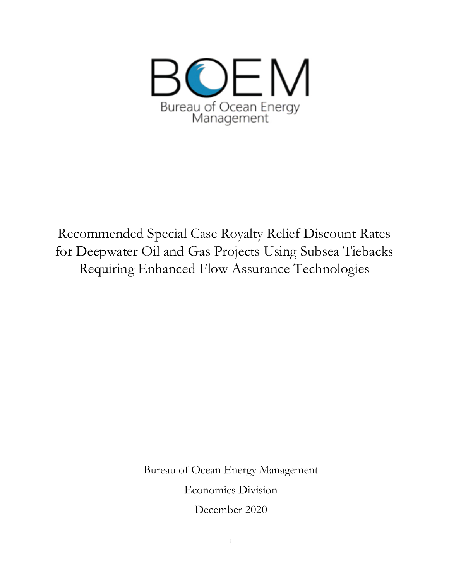

Recommended Special Case Royalty Relief Discount Rates for Deepwater Oil and Gas Projects Using Subsea Tiebacks Requiring Enhanced Flow Assurance Technologies

> Bureau of Ocean Energy Management Economics Division

> > December 2020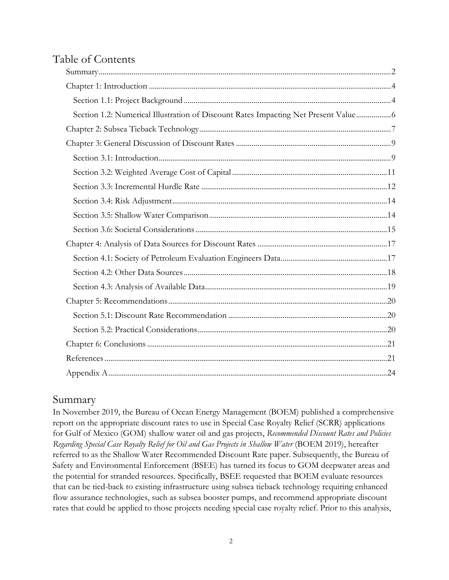# Table of Contents

| Section 1.2: Numerical Illustration of Discount Rates Impacting Net Present Value |  |
|-----------------------------------------------------------------------------------|--|
|                                                                                   |  |
|                                                                                   |  |
|                                                                                   |  |
|                                                                                   |  |
|                                                                                   |  |
|                                                                                   |  |
|                                                                                   |  |
|                                                                                   |  |
|                                                                                   |  |
|                                                                                   |  |
|                                                                                   |  |
|                                                                                   |  |
|                                                                                   |  |
|                                                                                   |  |
|                                                                                   |  |
|                                                                                   |  |
|                                                                                   |  |
|                                                                                   |  |

## Summary

In November 2019, the Bureau of Ocean Energy Management (BOEM) published a comprehensive report on the appropriate discount rates to use in Special Case Royalty Relief (SCRR) applications for Gulf of Mexico (GOM) shallow water oil and gas projects, *Recommended Discount Rates and Policies Regarding Special Case Royalty Relief for Oil and Gas Projects in Shallow Water* (BOEM 2019), hereafter referred to as the Shallow Water Recommended Discount Rate paper. Subsequently, the Bureau of Safety and Environmental Enforcement (BSEE) has turned its focus to GOM deepwater areas and the potential for stranded resources. Specifically, BSEE requested that BOEM evaluate resources that can be tied-back to existing infrastructure using subsea tieback technology requiring enhanced flow assurance technologies, such as subsea booster pumps, and recommend appropriate discount rates that could be applied to those projects needing special case royalty relief. Prior to this analysis,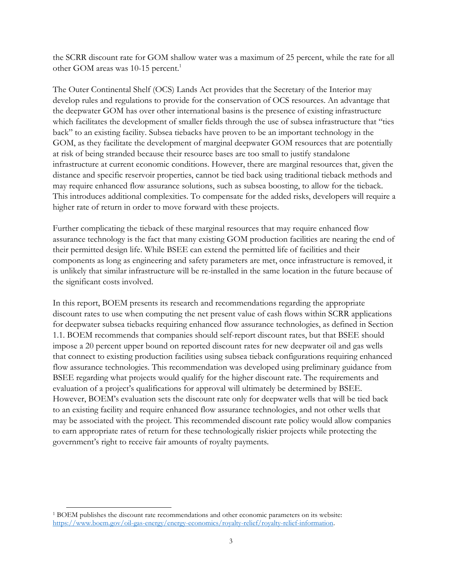the SCRR discount rate for GOM shallow water was a maximum of 25 percent, while the rate for all other GOM areas was 10-15 percent.<sup>1</sup>

The Outer Continental Shelf (OCS) Lands Act provides that the Secretary of the Interior may develop rules and regulations to provide for the conservation of OCS resources. An advantage that the deepwater GOM has over other international basins is the presence of existing infrastructure which facilitates the development of smaller fields through the use of subsea infrastructure that "ties back" to an existing facility. Subsea tiebacks have proven to be an important technology in the GOM, as they facilitate the development of marginal deepwater GOM resources that are potentially at risk of being stranded because their resource bases are too small to justify standalone infrastructure at current economic conditions. However, there are marginal resources that, given the distance and specific reservoir properties, cannot be tied back using traditional tieback methods and may require enhanced flow assurance solutions, such as subsea boosting, to allow for the tieback. This introduces additional complexities. To compensate for the added risks, developers will require a higher rate of return in order to move forward with these projects.

Further complicating the tieback of these marginal resources that may require enhanced flow assurance technology is the fact that many existing GOM production facilities are nearing the end of their permitted design life. While BSEE can extend the permitted life of facilities and their components as long as engineering and safety parameters are met, once infrastructure is removed, it is unlikely that similar infrastructure will be re-installed in the same location in the future because of the significant costs involved.

In this report, BOEM presents its research and recommendations regarding the appropriate discount rates to use when computing the net present value of cash flows within SCRR applications for deepwater subsea tiebacks requiring enhanced flow assurance technologies, as defined in Section 1.1. BOEM recommends that companies should self-report discount rates, but that BSEE should impose a 20 percent upper bound on reported discount rates for new deepwater oil and gas wells that connect to existing production facilities using subsea tieback configurations requiring enhanced flow assurance technologies. This recommendation was developed using preliminary guidance from BSEE regarding what projects would qualify for the higher discount rate. The requirements and evaluation of a project's qualifications for approval will ultimately be determined by BSEE. However, BOEM's evaluation sets the discount rate only for deepwater wells that will be tied back to an existing facility and require enhanced flow assurance technologies, and not other wells that may be associated with the project. This recommended discount rate policy would allow companies to earn appropriate rates of return for these technologically riskier projects while protecting the government's right to receive fair amounts of royalty payments.

 $\overline{a}$ <sup>1</sup> BOEM publishes the discount rate recommendations and other economic parameters on its website: [https://www.boem.gov/oil-gas-energy/energy-economics/royalty-relief/royalty-relief-information.](https://www.boem.gov/oil-gas-energy/energy-economics/royalty-relief/royalty-relief-information)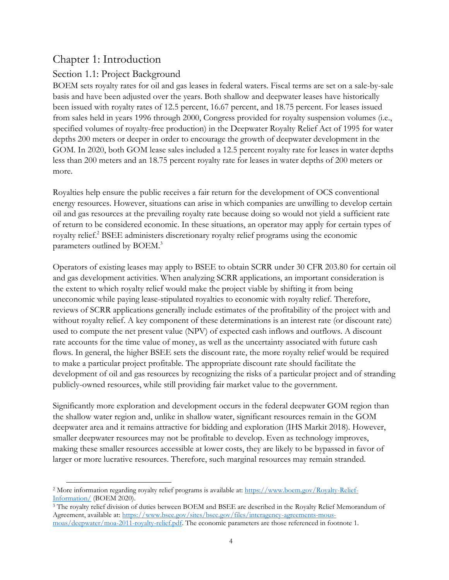# Chapter 1: Introduction

## Section 1.1: Project Background

BOEM sets royalty rates for oil and gas leases in federal waters. Fiscal terms are set on a sale-by-sale basis and have been adjusted over the years. Both shallow and deepwater leases have historically been issued with royalty rates of 12.5 percent, 16.67 percent, and 18.75 percent. For leases issued from sales held in years 1996 through 2000, Congress provided for royalty suspension volumes (i.e., specified volumes of royalty-free production) in the Deepwater Royalty Relief Act of 1995 for water depths 200 meters or deeper in order to encourage the growth of deepwater development in the GOM. In 2020, both GOM lease sales included a 12.5 percent royalty rate for leases in water depths less than 200 meters and an 18.75 percent royalty rate for leases in water depths of 200 meters or more.

Royalties help ensure the public receives a fair return for the development of OCS conventional energy resources. However, situations can arise in which companies are unwilling to develop certain oil and gas resources at the prevailing royalty rate because doing so would not yield a sufficient rate of return to be considered economic. In these situations, an operator may apply for certain types of royalty relief. <sup>2</sup> BSEE administers discretionary royalty relief programs using the economic parameters outlined by BOEM.<sup>3</sup>

Operators of existing leases may apply to BSEE to obtain SCRR under 30 CFR 203.80 for certain oil and gas development activities. When analyzing SCRR applications, an important consideration is the extent to which royalty relief would make the project viable by shifting it from being uneconomic while paying lease-stipulated royalties to economic with royalty relief. Therefore, reviews of SCRR applications generally include estimates of the profitability of the project with and without royalty relief. A key component of these determinations is an interest rate (or discount rate) used to compute the net present value (NPV) of expected cash inflows and outflows. A discount rate accounts for the time value of money, as well as the uncertainty associated with future cash flows. In general, the higher BSEE sets the discount rate, the more royalty relief would be required to make a particular project profitable. The appropriate discount rate should facilitate the development of oil and gas resources by recognizing the risks of a particular project and of stranding publicly-owned resources, while still providing fair market value to the government.

Significantly more exploration and development occurs in the federal deepwater GOM region than the shallow water region and, unlike in shallow water, significant resources remain in the GOM deepwater area and it remains attractive for bidding and exploration (IHS Markit 2018). However, smaller deepwater resources may not be profitable to develop. Even as technology improves, making these smaller resources accessible at lower costs, they are likely to be bypassed in favor of larger or more lucrative resources. Therefore, such marginal resources may remain stranded.

 $\overline{a}$ <sup>2</sup> More information regarding royalty relief programs is available at: [https://www.boem.gov/Royalty-Relief-](https://www.boem.gov/Royalty-Relief-Information/)[Information/](https://www.boem.gov/Royalty-Relief-Information/) (BOEM 2020).

<sup>3</sup> The royalty relief division of duties between BOEM and BSEE are described in the Royalty Relief Memorandum of Agreement, available at[: https://www.bsee.gov/sites/bsee.gov/files/interagency-agreements-mous](https://www.bsee.gov/sites/bsee.gov/files/interagency-agreements-mous-moas/deepwater/moa-2011-royalty-relief.pdf)[moas/deepwater/moa-2011-royalty-relief.pdf.](https://www.bsee.gov/sites/bsee.gov/files/interagency-agreements-mous-moas/deepwater/moa-2011-royalty-relief.pdf) The economic parameters are those referenced in footnote 1.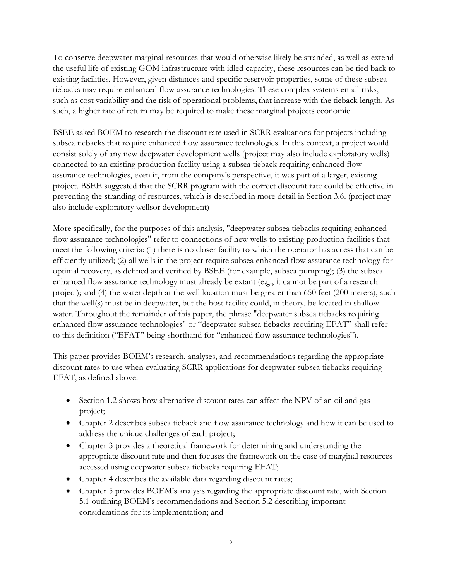To conserve deepwater marginal resources that would otherwise likely be stranded, as well as extend the useful life of existing GOM infrastructure with idled capacity, these resources can be tied back to existing facilities. However, given distances and specific reservoir properties, some of these subsea tiebacks may require enhanced flow assurance technologies. These complex systems entail risks, such as cost variability and the risk of operational problems, that increase with the tieback length. As such, a higher rate of return may be required to make these marginal projects economic.

BSEE asked BOEM to research the discount rate used in SCRR evaluations for projects including subsea tiebacks that require enhanced flow assurance technologies. In this context, a project would consist solely of any new deepwater development wells (project may also include exploratory wells) connected to an existing production facility using a subsea tieback requiring enhanced flow assurance technologies, even if, from the company's perspective, it was part of a larger, existing project. BSEE suggested that the SCRR program with the correct discount rate could be effective in preventing the stranding of resources, which is described in more detail in Section 3.6. (project may also include exploratory wellsor development)

More specifically, for the purposes of this analysis, "deepwater subsea tiebacks requiring enhanced flow assurance technologies" refer to connections of new wells to existing production facilities that meet the following criteria: (1) there is no closer facility to which the operator has access that can be efficiently utilized; (2) all wells in the project require subsea enhanced flow assurance technology for optimal recovery, as defined and verified by BSEE (for example, subsea pumping); (3) the subsea enhanced flow assurance technology must already be extant (e.g., it cannot be part of a research project); and (4) the water depth at the well location must be greater than 650 feet (200 meters), such that the well(s) must be in deepwater, but the host facility could, in theory, be located in shallow water. Throughout the remainder of this paper, the phrase "deepwater subsea tiebacks requiring enhanced flow assurance technologies" or "deepwater subsea tiebacks requiring EFAT" shall refer to this definition ("EFAT" being shorthand for "enhanced flow assurance technologies").

This paper provides BOEM's research, analyses, and recommendations regarding the appropriate discount rates to use when evaluating SCRR applications for deepwater subsea tiebacks requiring EFAT, as defined above:

- Section 1.2 shows how alternative discount rates can affect the NPV of an oil and gas project;
- Chapter 2 describes subsea tieback and flow assurance technology and how it can be used to address the unique challenges of each project;
- Chapter 3 provides a theoretical framework for determining and understanding the appropriate discount rate and then focuses the framework on the case of marginal resources accessed using deepwater subsea tiebacks requiring EFAT;
- Chapter 4 describes the available data regarding discount rates;
- Chapter 5 provides BOEM's analysis regarding the appropriate discount rate, with Section 5.1 outlining BOEM's recommendations and Section 5.2 describing important considerations for its implementation; and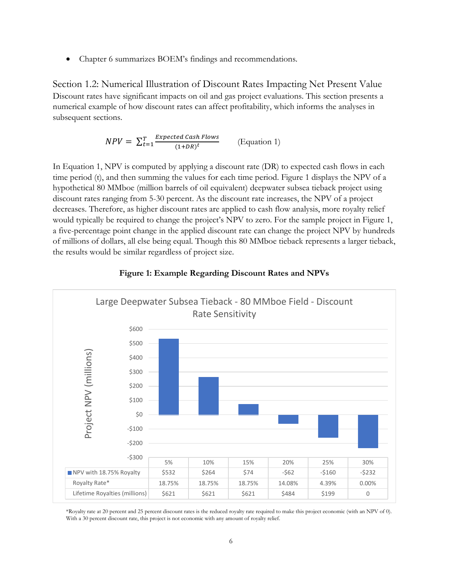Chapter 6 summarizes BOEM's findings and recommendations.

Section 1.2: Numerical Illustration of Discount Rates Impacting Net Present Value Discount rates have significant impacts on oil and gas project evaluations. This section presents a numerical example of how discount rates can affect profitability, which informs the analyses in subsequent sections.

$$
NPV = \sum_{t=1}^{T} \frac{Expected Cash Flows}{(1+DR)^t}
$$
 (Equation 1)

In Equation 1, NPV is computed by applying a discount rate (DR) to expected cash flows in each time period (t), and then summing the values for each time period. Figure 1 displays the NPV of a hypothetical 80 MMboe (million barrels of oil equivalent) deepwater subsea tieback project using discount rates ranging from 5-30 percent. As the discount rate increases, the NPV of a project decreases. Therefore, as higher discount rates are applied to cash flow analysis, more royalty relief would typically be required to change the project's NPV to zero. For the sample project in Figure 1, a five-percentage point change in the applied discount rate can change the project NPV by hundreds of millions of dollars, all else being equal. Though this 80 MMboe tieback represents a larger tieback, the results would be similar regardless of project size.



#### **Figure 1: Example Regarding Discount Rates and NPVs**

\*Royalty rate at 20 percent and 25 percent discount rates is the reduced royalty rate required to make this project economic (with an NPV of 0). With a 30 percent discount rate, this project is not economic with any amount of royalty relief.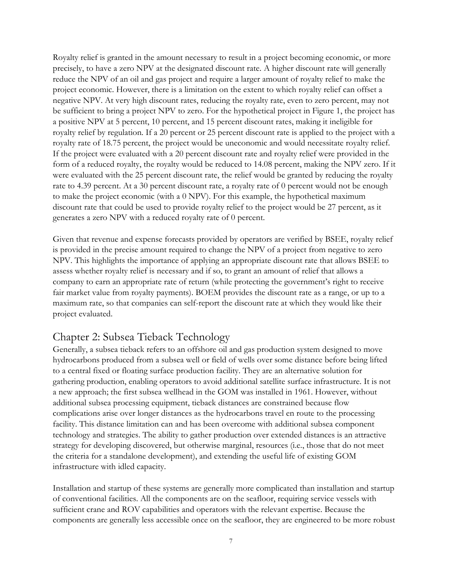Royalty relief is granted in the amount necessary to result in a project becoming economic, or more precisely, to have a zero NPV at the designated discount rate. A higher discount rate will generally reduce the NPV of an oil and gas project and require a larger amount of royalty relief to make the project economic. However, there is a limitation on the extent to which royalty relief can offset a negative NPV. At very high discount rates, reducing the royalty rate, even to zero percent, may not be sufficient to bring a project NPV to zero. For the hypothetical project in Figure 1, the project has a positive NPV at 5 percent, 10 percent, and 15 percent discount rates, making it ineligible for royalty relief by regulation. If a 20 percent or 25 percent discount rate is applied to the project with a royalty rate of 18.75 percent, the project would be uneconomic and would necessitate royalty relief. If the project were evaluated with a 20 percent discount rate and royalty relief were provided in the form of a reduced royalty, the royalty would be reduced to 14.08 percent, making the NPV zero. If it were evaluated with the 25 percent discount rate, the relief would be granted by reducing the royalty rate to 4.39 percent. At a 30 percent discount rate, a royalty rate of 0 percent would not be enough to make the project economic (with a 0 NPV). For this example, the hypothetical maximum discount rate that could be used to provide royalty relief to the project would be 27 percent, as it generates a zero NPV with a reduced royalty rate of 0 percent.

Given that revenue and expense forecasts provided by operators are verified by BSEE, royalty relief is provided in the precise amount required to change the NPV of a project from negative to zero NPV. This highlights the importance of applying an appropriate discount rate that allows BSEE to assess whether royalty relief is necessary and if so, to grant an amount of relief that allows a company to earn an appropriate rate of return (while protecting the government's right to receive fair market value from royalty payments). BOEM provides the discount rate as a range, or up to a maximum rate, so that companies can self-report the discount rate at which they would like their project evaluated.

## Chapter 2: Subsea Tieback Technology

Generally, a subsea tieback refers to an offshore oil and gas production system designed to move hydrocarbons produced from a subsea well or field of wells over some distance before being lifted to a central fixed or floating surface production facility. They are an alternative solution for gathering production, enabling operators to avoid additional satellite surface infrastructure. It is not a new approach; the first subsea wellhead in the GOM was installed in 1961. However, without additional subsea processing equipment, tieback distances are constrained because flow complications arise over longer distances as the hydrocarbons travel en route to the processing facility. This distance limitation can and has been overcome with additional subsea component technology and strategies. The ability to gather production over extended distances is an attractive strategy for developing discovered, but otherwise marginal, resources (i.e., those that do not meet the criteria for a standalone development), and extending the useful life of existing GOM infrastructure with idled capacity.

Installation and startup of these systems are generally more complicated than installation and startup of conventional facilities. All the components are on the seafloor, requiring service vessels with sufficient crane and ROV capabilities and operators with the relevant expertise. Because the components are generally less accessible once on the seafloor, they are engineered to be more robust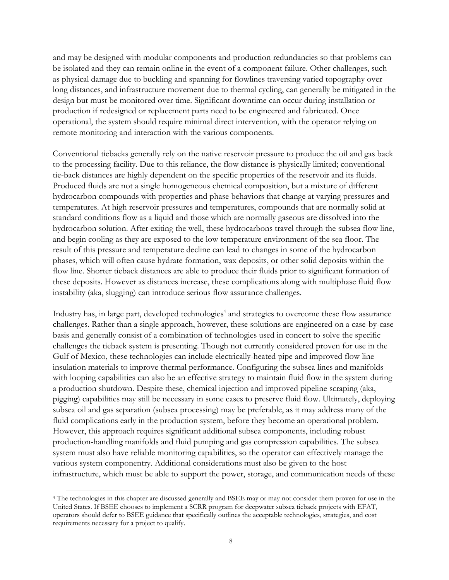and may be designed with modular components and production redundancies so that problems can be isolated and they can remain online in the event of a component failure. Other challenges, such as physical damage due to buckling and spanning for flowlines traversing varied topography over long distances, and infrastructure movement due to thermal cycling, can generally be mitigated in the design but must be monitored over time. Significant downtime can occur during installation or production if redesigned or replacement parts need to be engineered and fabricated. Once operational, the system should require minimal direct intervention, with the operator relying on remote monitoring and interaction with the various components.

Conventional tiebacks generally rely on the native reservoir pressure to produce the oil and gas back to the processing facility. Due to this reliance, the flow distance is physically limited; conventional tie-back distances are highly dependent on the specific properties of the reservoir and its fluids. Produced fluids are not a single homogeneous chemical composition, but a mixture of different hydrocarbon compounds with properties and phase behaviors that change at varying pressures and temperatures. At high reservoir pressures and temperatures, compounds that are normally solid at standard conditions flow as a liquid and those which are normally gaseous are dissolved into the hydrocarbon solution. After exiting the well, these hydrocarbons travel through the subsea flow line, and begin cooling as they are exposed to the low temperature environment of the sea floor. The result of this pressure and temperature decline can lead to changes in some of the hydrocarbon phases, which will often cause hydrate formation, wax deposits, or other solid deposits within the flow line. Shorter tieback distances are able to produce their fluids prior to significant formation of these deposits. However as distances increase, these complications along with multiphase fluid flow instability (aka, slugging) can introduce serious flow assurance challenges.

Industry has, in large part, developed technologies<sup>4</sup> and strategies to overcome these flow assurance challenges. Rather than a single approach, however, these solutions are engineered on a case-by-case basis and generally consist of a combination of technologies used in concert to solve the specific challenges the tieback system is presenting. Though not currently considered proven for use in the Gulf of Mexico, these technologies can include electrically-heated pipe and improved flow line insulation materials to improve thermal performance. Configuring the subsea lines and manifolds with looping capabilities can also be an effective strategy to maintain fluid flow in the system during a production shutdown. Despite these, chemical injection and improved pipeline scraping (aka, pigging) capabilities may still be necessary in some cases to preserve fluid flow. Ultimately, deploying subsea oil and gas separation (subsea processing) may be preferable, as it may address many of the fluid complications early in the production system, before they become an operational problem. However, this approach requires significant additional subsea components, including robust production-handling manifolds and fluid pumping and gas compression capabilities. The subsea system must also have reliable monitoring capabilities, so the operator can effectively manage the various system componentry. Additional considerations must also be given to the host infrastructure, which must be able to support the power, storage, and communication needs of these

 $\overline{a}$ 

<sup>4</sup> The technologies in this chapter are discussed generally and BSEE may or may not consider them proven for use in the United States. If BSEE chooses to implement a SCRR program for deepwater subsea tieback projects with EFAT, operators should defer to BSEE guidance that specifically outlines the acceptable technologies, strategies, and cost requirements necessary for a project to qualify.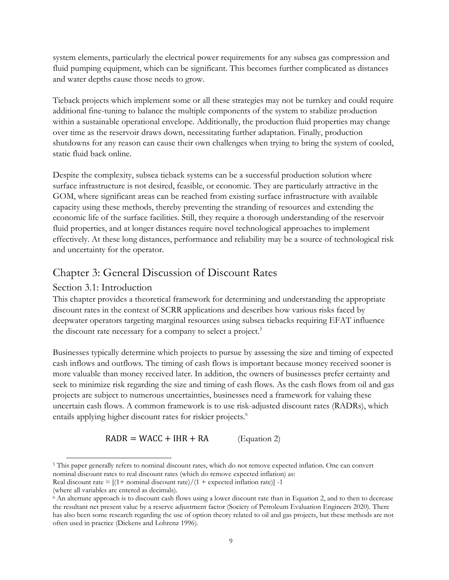system elements, particularly the electrical power requirements for any subsea gas compression and fluid pumping equipment, which can be significant. This becomes further complicated as distances and water depths cause those needs to grow.

Tieback projects which implement some or all these strategies may not be turnkey and could require additional fine-tuning to balance the multiple components of the system to stabilize production within a sustainable operational envelope. Additionally, the production fluid properties may change over time as the reservoir draws down, necessitating further adaptation. Finally, production shutdowns for any reason can cause their own challenges when trying to bring the system of cooled, static fluid back online.

Despite the complexity, subsea tieback systems can be a successful production solution where surface infrastructure is not desired, feasible, or economic. They are particularly attractive in the GOM, where significant areas can be reached from existing surface infrastructure with available capacity using these methods, thereby preventing the stranding of resources and extending the economic life of the surface facilities. Still, they require a thorough understanding of the reservoir fluid properties, and at longer distances require novel technological approaches to implement effectively. At these long distances, performance and reliability may be a source of technological risk and uncertainty for the operator.

# Chapter 3: General Discussion of Discount Rates

### Section 3.1: Introduction

This chapter provides a theoretical framework for determining and understanding the appropriate discount rates in the context of SCRR applications and describes how various risks faced by deepwater operators targeting marginal resources using subsea tiebacks requiring EFAT influence the discount rate necessary for a company to select a project.<sup>5</sup>

Businesses typically determine which projects to pursue by assessing the size and timing of expected cash inflows and outflows. The timing of cash flows is important because money received sooner is more valuable than money received later. In addition, the owners of businesses prefer certainty and seek to minimize risk regarding the size and timing of cash flows. As the cash flows from oil and gas projects are subject to numerous uncertainties, businesses need a framework for valuing these uncertain cash flows. A common framework is to use risk-adjusted discount rates (RADRs), which entails applying higher discount rates for riskier projects.<sup>6</sup>

 $RADR = WACC + IHR + RA$  (Equation 2)

<sup>5</sup> This paper generally refers to nominal discount rates, which do not remove expected inflation. One can convert nominal discount rates to real discount rates (which do remove expected inflation) as:

Real discount rate =  $[(1 + normal discount rate)/(1 + expected inflation rate)] -1$ 

 $\overline{a}$ 

<sup>(</sup>where all variables are entered as decimals).

<sup>6</sup> An alternate approach is to discount cash flows using a lower discount rate than in Equation 2, and to then to decrease the resultant net present value by a reserve adjustment factor (Society of Petroleum Evaluation Engineers 2020). There has also been some research regarding the use of option theory related to oil and gas projects, but these methods are not often used in practice (Dickens and Lohrenz 1996).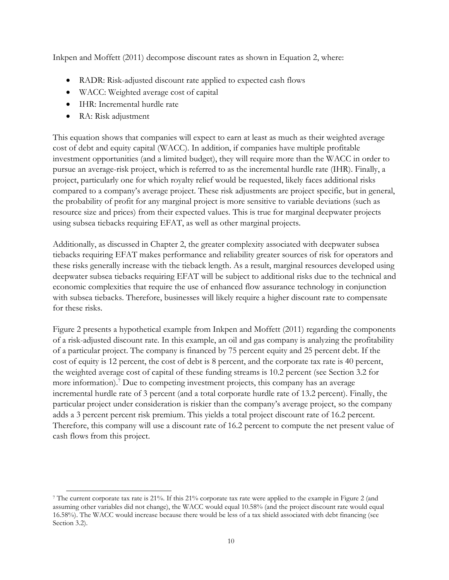Inkpen and Moffett (2011) decompose discount rates as shown in Equation 2, where:

- RADR: Risk-adjusted discount rate applied to expected cash flows
- WACC: Weighted average cost of capital
- IHR: Incremental hurdle rate
- RA: Risk adjustment

 $\overline{a}$ 

This equation shows that companies will expect to earn at least as much as their weighted average cost of debt and equity capital (WACC). In addition, if companies have multiple profitable investment opportunities (and a limited budget), they will require more than the WACC in order to pursue an average-risk project, which is referred to as the incremental hurdle rate (IHR). Finally, a project, particularly one for which royalty relief would be requested, likely faces additional risks compared to a company's average project. These risk adjustments are project specific, but in general, the probability of profit for any marginal project is more sensitive to variable deviations (such as resource size and prices) from their expected values. This is true for marginal deepwater projects using subsea tiebacks requiring EFAT, as well as other marginal projects.

Additionally, as discussed in Chapter 2, the greater complexity associated with deepwater subsea tiebacks requiring EFAT makes performance and reliability greater sources of risk for operators and these risks generally increase with the tieback length. As a result, marginal resources developed using deepwater subsea tiebacks requiring EFAT will be subject to additional risks due to the technical and economic complexities that require the use of enhanced flow assurance technology in conjunction with subsea tiebacks. Therefore, businesses will likely require a higher discount rate to compensate for these risks.

Figure 2 presents a hypothetical example from Inkpen and Moffett (2011) regarding the components of a risk-adjusted discount rate. In this example, an oil and gas company is analyzing the profitability of a particular project. The company is financed by 75 percent equity and 25 percent debt. If the cost of equity is 12 percent, the cost of debt is 8 percent, and the corporate tax rate is 40 percent, the weighted average cost of capital of these funding streams is 10.2 percent (see Section 3.2 for more information).<sup>7</sup> Due to competing investment projects, this company has an average incremental hurdle rate of 3 percent (and a total corporate hurdle rate of 13.2 percent). Finally, the particular project under consideration is riskier than the company's average project, so the company adds a 3 percent percent risk premium. This yields a total project discount rate of 16.2 percent. Therefore, this company will use a discount rate of 16.2 percent to compute the net present value of cash flows from this project.

<sup>7</sup> The current corporate tax rate is 21%. If this 21% corporate tax rate were applied to the example in Figure 2 (and assuming other variables did not change), the WACC would equal 10.58% (and the project discount rate would equal 16.58%). The WACC would increase because there would be less of a tax shield associated with debt financing (see Section 3.2).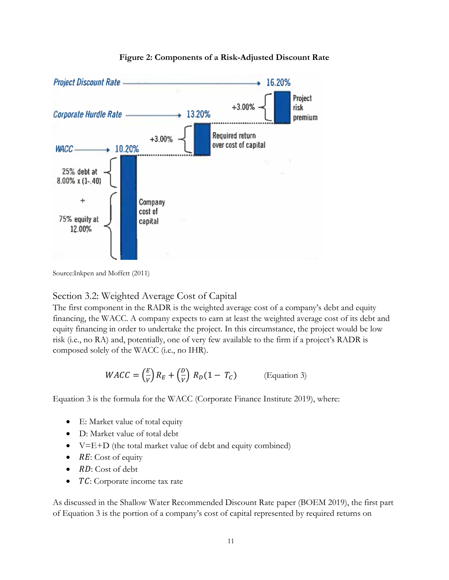

#### **Figure 2: Components of a Risk-Adjusted Discount Rate**

Source:Inkpen and Moffett (2011)

### Section 3.2: Weighted Average Cost of Capital

The first component in the RADR is the weighted average cost of a company's debt and equity financing, the WACC. A company expects to earn at least the weighted average cost of its debt and equity financing in order to undertake the project. In this circumstance, the project would be low risk (i.e., no RA) and, potentially, one of very few available to the firm if a project's RADR is composed solely of the WACC (i.e., no IHR).

$$
WACC = \left(\frac{E}{V}\right)R_E + \left(\frac{D}{V}\right)R_D(1 - T_C)
$$
 (Equation 3)

Equation 3 is the formula for the WACC (Corporate Finance Institute 2019), where:

- E: Market value of total equity
- D: Market value of total debt
- V=E+D (the total market value of debt and equity combined)
- $\bullet$  RE: Cost of equity
- $\bullet$   $RD$ : Cost of debt
- TC: Corporate income tax rate

As discussed in the Shallow Water Recommended Discount Rate paper (BOEM 2019), the first part of Equation 3 is the portion of a company's cost of capital represented by required returns on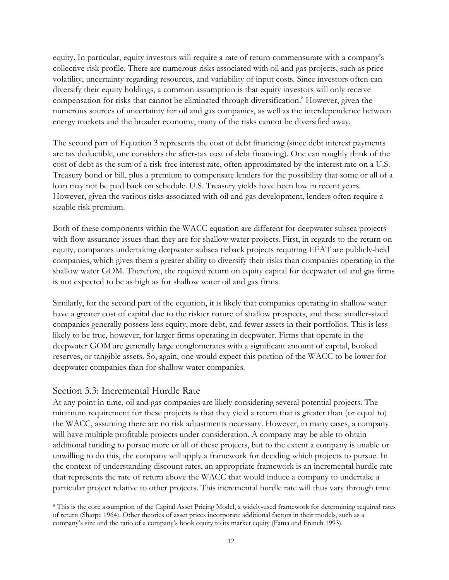equity. In particular, equity investors will require a rate of return commensurate with a company's collective risk profile. There are numerous risks associated with oil and gas projects, such as price volatility, uncertainty regarding resources, and variability of input costs. Since investors often can diversify their equity holdings, a common assumption is that equity investors will only receive compensation for risks that cannot be eliminated through diversification.<sup>8</sup> However, given the numerous sources of uncertainty for oil and gas companies, as well as the interdependence between energy markets and the broader economy, many of the risks cannot be diversified away.

The second part of Equation 3 represents the cost of debt financing (since debt interest payments are tax deductible, one considers the after-tax cost of debt financing). One can roughly think of the cost of debt as the sum of a risk-free interest rate, often approximated by the interest rate on a U.S. Treasury bond or bill, plus a premium to compensate lenders for the possibility that some or all of a loan may not be paid back on schedule. U.S. Treasury yields have been low in recent years. However, given the various risks associated with oil and gas development, lenders often require a sizable risk premium.

Both of these components within the WACC equation are different for deepwater subsea projects with flow assurance issues than they are for shallow water projects. First, in regards to the return on equity, companies undertaking deepwater subsea tieback projects requiring EFAT are publicly-held companies, which gives them a greater ability to diversify their risks than companies operating in the shallow water GOM. Therefore, the required return on equity capital for deepwater oil and gas firms is not expected to be as high as for shallow water oil and gas firms.

Similarly, for the second part of the equation, it is likely that companies operating in shallow water have a greater cost of capital due to the riskier nature of shallow prospects, and these smaller-sized companies generally possess less equity, more debt, and fewer assets in their portfolios. This is less likely to be true, however, for larger firms operating in deepwater. Firms that operate in the deepwater GOM are generally large conglomerates with a significant amount of capital, booked reserves, or tangible assets. So, again, one would expect this portion of the WACC to be lower for deepwater companies than for shallow water companies.

### Section 3.3: Incremental Hurdle Rate

 $\overline{a}$ 

At any point in time, oil and gas companies are likely considering several potential projects. The minimum requirement for these projects is that they yield a return that is greater than (or equal to) the WACC, assuming there are no risk adjustments necessary. However, in many cases, a company will have multiple profitable projects under consideration. A company may be able to obtain additional funding to pursue more or all of these projects, but to the extent a company is unable or unwilling to do this, the company will apply a framework for deciding which projects to pursue. In the context of understanding discount rates, an appropriate framework is an incremental hurdle rate that represents the rate of return above the WACC that would induce a company to undertake a particular project relative to other projects. This incremental hurdle rate will thus vary through time

<sup>8</sup> This is the core assumption of the Capital Asset Pricing Model, a widely-used framework for determining required rates of return (Sharpe 1964). Other theories of asset prices incorporate additional factors in their models, such as a company's size and the ratio of a company's book equity to its market equity (Fama and French 1993).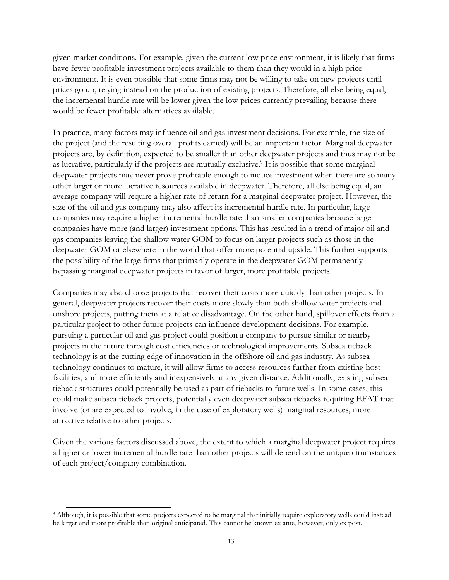given market conditions. For example, given the current low price environment, it is likely that firms have fewer profitable investment projects available to them than they would in a high price environment. It is even possible that some firms may not be willing to take on new projects until prices go up, relying instead on the production of existing projects. Therefore, all else being equal, the incremental hurdle rate will be lower given the low prices currently prevailing because there would be fewer profitable alternatives available.

In practice, many factors may influence oil and gas investment decisions. For example, the size of the project (and the resulting overall profits earned) will be an important factor. Marginal deepwater projects are, by definition, expected to be smaller than other deepwater projects and thus may not be as lucrative, particularly if the projects are mutually exclusive.<sup>9</sup> It is possible that some marginal deepwater projects may never prove profitable enough to induce investment when there are so many other larger or more lucrative resources available in deepwater. Therefore, all else being equal, an average company will require a higher rate of return for a marginal deepwater project. However, the size of the oil and gas company may also affect its incremental hurdle rate. In particular, large companies may require a higher incremental hurdle rate than smaller companies because large companies have more (and larger) investment options. This has resulted in a trend of major oil and gas companies leaving the shallow water GOM to focus on larger projects such as those in the deepwater GOM or elsewhere in the world that offer more potential upside. This further supports the possibility of the large firms that primarily operate in the deepwater GOM permanently bypassing marginal deepwater projects in favor of larger, more profitable projects.

Companies may also choose projects that recover their costs more quickly than other projects. In general, deepwater projects recover their costs more slowly than both shallow water projects and onshore projects, putting them at a relative disadvantage. On the other hand, spillover effects from a particular project to other future projects can influence development decisions. For example, pursuing a particular oil and gas project could position a company to pursue similar or nearby projects in the future through cost efficiencies or technological improvements. Subsea tieback technology is at the cutting edge of innovation in the offshore oil and gas industry. As subsea technology continues to mature, it will allow firms to access resources further from existing host facilities, and more efficiently and inexpensively at any given distance. Additionally, existing subsea tieback structures could potentially be used as part of tiebacks to future wells. In some cases, this could make subsea tieback projects, potentially even deepwater subsea tiebacks requiring EFAT that involve (or are expected to involve, in the case of exploratory wells) marginal resources, more attractive relative to other projects.

Given the various factors discussed above, the extent to which a marginal deepwater project requires a higher or lower incremental hurdle rate than other projects will depend on the unique cirumstances of each project/company combination.

 $\overline{a}$ 

<sup>9</sup> Although, it is possible that some projects expected to be marginal that initially require exploratory wells could instead be larger and more profitable than original anticipated. This cannot be known ex ante, however, only ex post.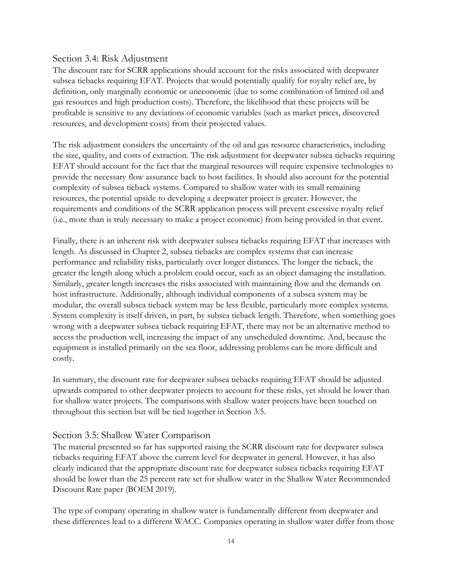### Section 3.4: Risk Adjustment

The discount rate for SCRR applications should account for the risks associated with deepwater subsea tiebacks requiring EFAT. Projects that would potentially qualify for royalty relief are, by definition, only marginally economic or uneconomic (due to some combination of limited oil and gas resources and high production costs). Therefore, the likelihood that these projects will be profitable is sensitive to any deviations of economic variables (such as market prices, discovered resources, and development costs) from their projected values.

The risk adjustment considers the uncertainty of the oil and gas resource characteristics, including the size, quality, and costs of extraction. The risk adjustment for deepwater subsea tiebacks requiring EFAT should account for the fact that the marginal resources will require expensive technologies to provide the necessary flow assurance back to host facilities. It should also account for the potential complexity of subsea tieback systems. Compared to shallow water with its small remaining resources, the potential upside to developing a deepwater project is greater. However, the requirements and conditions of the SCRR application process will prevent excessive royalty relief (i.e., more than is truly necessary to make a project economic) from being provided in that event.

Finally, there is an inherent risk with deepwater subsea tiebacks requiring EFAT that increases with length. As discussed in Chapter 2, subsea tiebacks are complex systems that can increase performance and reliability risks, particularly over longer distances. The longer the tieback, the greater the length along which a problem could occur, such as an object damaging the installation. Similarly, greater length increases the risks associated with maintaining flow and the demands on host infrastructure. Additionally, although individual components of a subsea system may be modular, the overall subsea tieback system may be less flexible, particularly more complex systems. System complexity is itself driven, in part, by subsea tieback length. Therefore, when something goes wrong with a deepwater subsea tieback requiring EFAT, there may not be an alternative method to access the production well, increasing the impact of any unscheduled downtime. And, because the equipment is installed primarily on the sea floor, addressing problems can be more difficult and costly.

In summary, the discount rate for deepwater subsea tiebacks requiring EFAT should be adjusted upwards compared to other deepwater projects to account for these risks, yet should be lower than for shallow water projects. The comparisons with shallow water projects have been touched on throughout this section but will be tied together in Section 3.5.

### Section 3.5: Shallow Water Comparison

The material presented so far has supported raising the SCRR discount rate for deepwater subsea tiebacks requiring EFAT above the current level for deepwater in general. However, it has also clearly indicated that the appropriate discount rate for deepwater subsea tiebacks requiring EFAT should be lower than the 25 percent rate set for shallow water in the Shallow Water Recommended Discount Rate paper (BOEM 2019).

The type of company operating in shallow water is fundamentally different from deepwater and these differences lead to a different WACC. Companies operating in shallow water differ from those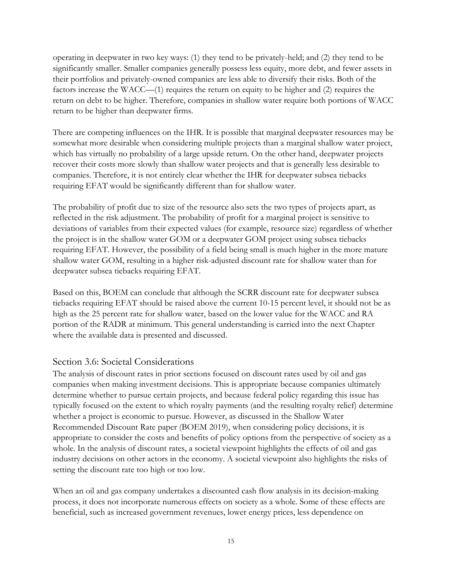operating in deepwater in two key ways: (1) they tend to be privately-held; and (2) they tend to be significantly smaller. Smaller companies generally possess less equity, more debt, and fewer assets in their portfolios and privately-owned companies are less able to diversify their risks. Both of the factors increase the WACC—(1) requires the return on equity to be higher and (2) requires the return on debt to be higher. Therefore, companies in shallow water require both portions of WACC return to be higher than deepwater firms.

There are competing influences on the IHR. It is possible that marginal deepwater resources may be somewhat more desirable when considering multiple projects than a marginal shallow water project, which has virtually no probability of a large upside return. On the other hand, deepwater projects recover their costs more slowly than shallow water projects and that is generally less desirable to companies. Therefore, it is not entirely clear whether the IHR for deepwater subsea tiebacks requiring EFAT would be significantly different than for shallow water.

The probability of profit due to size of the resource also sets the two types of projects apart, as reflected in the risk adjustment. The probability of profit for a marginal project is sensitive to deviations of variables from their expected values (for example, resource size) regardless of whether the project is in the shallow water GOM or a deepwater GOM project using subsea tiebacks requiring EFAT. However, the possibility of a field being small is much higher in the more mature shallow water GOM, resulting in a higher risk-adjusted discount rate for shallow water than for deepwater subsea tiebacks requiring EFAT.

Based on this, BOEM can conclude that although the SCRR discount rate for deepwater subsea tiebacks requiring EFAT should be raised above the current 10-15 percent level, it should not be as high as the 25 percent rate for shallow water, based on the lower value for the WACC and RA portion of the RADR at minimum. This general understanding is carried into the next Chapter where the available data is presented and discussed.

#### Section 3.6: Societal Considerations

The analysis of discount rates in prior sections focused on discount rates used by oil and gas companies when making investment decisions. This is appropriate because companies ultimately determine whether to pursue certain projects, and because federal policy regarding this issue has typically focused on the extent to which royalty payments (and the resulting royalty relief) determine whether a project is economic to pursue. However, as discussed in the Shallow Water Recommended Discount Rate paper (BOEM 2019), when considering policy decisions, it is appropriate to consider the costs and benefits of policy options from the perspective of society as a whole. In the analysis of discount rates, a societal viewpoint highlights the effects of oil and gas industry decisions on other actors in the economy. A societal viewpoint also highlights the risks of setting the discount rate too high or too low.

When an oil and gas company undertakes a discounted cash flow analysis in its decision-making process, it does not incorporate numerous effects on society as a whole. Some of these effects are beneficial, such as increased government revenues, lower energy prices, less dependence on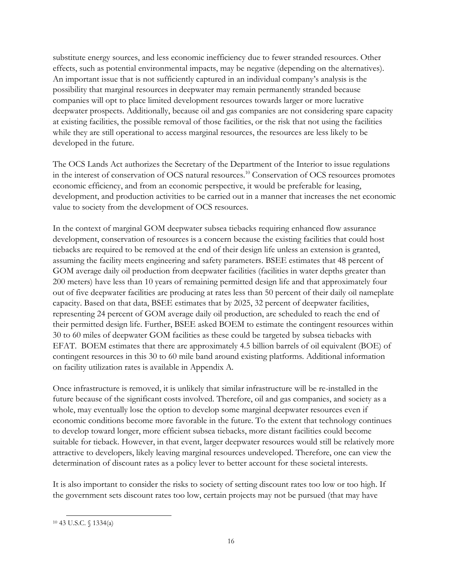substitute energy sources, and less economic inefficiency due to fewer stranded resources. Other effects, such as potential environmental impacts, may be negative (depending on the alternatives). An important issue that is not sufficiently captured in an individual company's analysis is the possibility that marginal resources in deepwater may remain permanently stranded because companies will opt to place limited development resources towards larger or more lucrative deepwater prospects. Additionally, because oil and gas companies are not considering spare capacity at existing facilities, the possible removal of those facilities, or the risk that not using the facilities while they are still operational to access marginal resources, the resources are less likely to be developed in the future.

The OCS Lands Act authorizes the Secretary of the Department of the Interior to issue regulations in the interest of conservation of OCS natural resources.<sup>10</sup> Conservation of OCS resources promotes economic efficiency, and from an economic perspective, it would be preferable for leasing, development, and production activities to be carried out in a manner that increases the net economic value to society from the development of OCS resources.

In the context of marginal GOM deepwater subsea tiebacks requiring enhanced flow assurance development, conservation of resources is a concern because the existing facilities that could host tiebacks are required to be removed at the end of their design life unless an extension is granted, assuming the facility meets engineering and safety parameters. BSEE estimates that 48 percent of GOM average daily oil production from deepwater facilities (facilities in water depths greater than 200 meters) have less than 10 years of remaining permitted design life and that approximately four out of five deepwater facilities are producing at rates less than 50 percent of their daily oil nameplate capacity. Based on that data, BSEE estimates that by 2025, 32 percent of deepwater facilities, representing 24 percent of GOM average daily oil production, are scheduled to reach the end of their permitted design life. Further, BSEE asked BOEM to estimate the contingent resources within 30 to 60 miles of deepwater GOM facilities as these could be targeted by subsea tiebacks with EFAT. BOEM estimates that there are approximately 4.5 billion barrels of oil equivalent (BOE) of contingent resources in this 30 to 60 mile band around existing platforms. Additional information on facility utilization rates is available in Appendix A.

Once infrastructure is removed, it is unlikely that similar infrastructure will be re-installed in the future because of the significant costs involved. Therefore, oil and gas companies, and society as a whole, may eventually lose the option to develop some marginal deepwater resources even if economic conditions become more favorable in the future. To the extent that technology continues to develop toward longer, more efficient subsea tiebacks, more distant facilities could become suitable for tieback. However, in that event, larger deepwater resources would still be relatively more attractive to developers, likely leaving marginal resources undeveloped. Therefore, one can view the determination of discount rates as a policy lever to better account for these societal interests.

It is also important to consider the risks to society of setting discount rates too low or too high. If the government sets discount rates too low, certain projects may not be pursued (that may have

 $\overline{a}$ <sup>10</sup> 43 U.S.C. § 1334(a)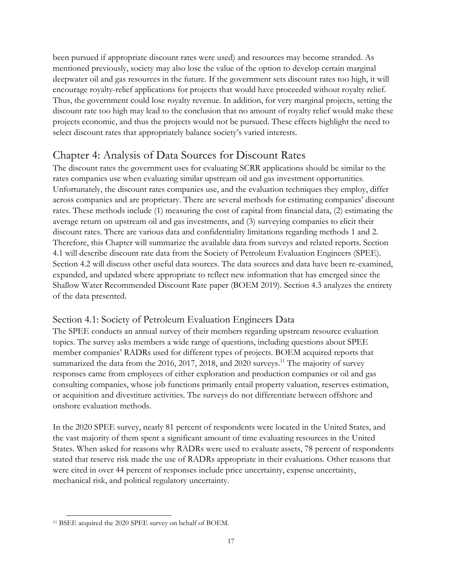been pursued if appropriate discount rates were used) and resources may become stranded. As mentioned previously, society may also lose the value of the option to develop certain marginal deepwater oil and gas resources in the future. If the government sets discount rates too high, it will encourage royalty-relief applications for projects that would have proceeded without royalty relief. Thus, the government could lose royalty revenue. In addition, for very marginal projects, setting the discount rate too high may lead to the conclusion that no amount of royalty relief would make these projects economic, and thus the projects would not be pursued. These effects highlight the need to select discount rates that appropriately balance society's varied interests.

# Chapter 4: Analysis of Data Sources for Discount Rates

The discount rates the government uses for evaluating SCRR applications should be similar to the rates companies use when evaluating similar upstream oil and gas investment opportunities. Unfortunately, the discount rates companies use, and the evaluation techniques they employ, differ across companies and are proprietary. There are several methods for estimating companies' discount rates. These methods include (1) measuring the cost of capital from financial data, (2) estimating the average return on upstream oil and gas investments, and (3) surveying companies to elicit their discount rates. There are various data and confidentiality limitations regarding methods 1 and 2. Therefore, this Chapter will summarize the available data from surveys and related reports. Section 4.1 will describe discount rate data from the Society of Petroleum Evaluation Engineers (SPEE). Section 4.2 will discuss other useful data sources. The data sources and data have been re-examined, expanded, and updated where appropriate to reflect new information that has emerged since the Shallow Water Recommended Discount Rate paper (BOEM 2019). Section 4.3 analyzes the entirety of the data presented.

## Section 4.1: Society of Petroleum Evaluation Engineers Data

The SPEE conducts an annual survey of their members regarding upstream resource evaluation topics. The survey asks members a wide range of questions, including questions about SPEE member companies' RADRs used for different types of projects. BOEM acquired reports that summarized the data from the 2016, 2017, 2018, and 2020 surveys.<sup>11</sup> The majority of survey responses came from employees of either exploration and production companies or oil and gas consulting companies, whose job functions primarily entail property valuation, reserves estimation, or acquisition and divestiture activities. The surveys do not differentiate between offshore and onshore evaluation methods.

In the 2020 SPEE survey, nearly 81 percent of respondents were located in the United States, and the vast majority of them spent a significant amount of time evaluating resources in the United States. When asked for reasons why RADRs were used to evaluate assets, 78 percent of respondents stated that reserve risk made the use of RADRs appropriate in their evaluations. Other reasons that were cited in over 44 percent of responses include price uncertainty, expense uncertainty, mechanical risk, and political regulatory uncertainty.

 $\overline{a}$ <sup>11</sup> BSEE acquired the 2020 SPEE survey on behalf of BOEM.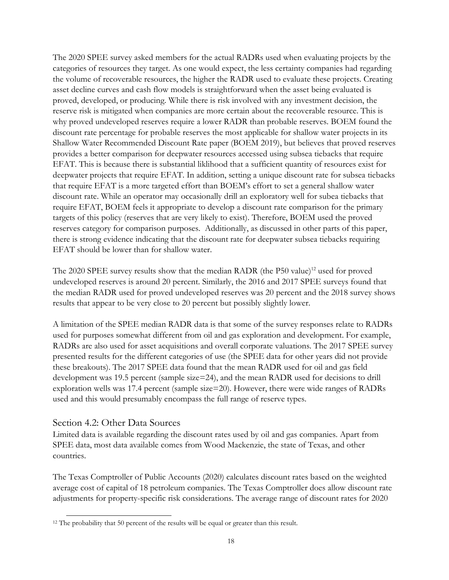The 2020 SPEE survey asked members for the actual RADRs used when evaluating projects by the categories of resources they target. As one would expect, the less certainty companies had regarding the volume of recoverable resources, the higher the RADR used to evaluate these projects. Creating asset decline curves and cash flow models is straightforward when the asset being evaluated is proved, developed, or producing. While there is risk involved with any investment decision, the reserve risk is mitigated when companies are more certain about the recoverable resource. This is why proved undeveloped reserves require a lower RADR than probable reserves. BOEM found the discount rate percentage for probable reserves the most applicable for shallow water projects in its Shallow Water Recommended Discount Rate paper (BOEM 2019), but believes that proved reserves provides a better comparison for deepwater resources accessed using subsea tiebacks that require EFAT. This is because there is substantial liklihood that a sufficient quantity of resources exist for deepwater projects that require EFAT. In addition, setting a unique discount rate for subsea tiebacks that require EFAT is a more targeted effort than BOEM's effort to set a general shallow water discount rate. While an operator may occasionally drill an exploratory well for subea tiebacks that require EFAT, BOEM feels it appropriate to develop a discount rate comparison for the primary targets of this policy (reserves that are very likely to exist). Therefore, BOEM used the proved reserves category for comparison purposes. Additionally, as discussed in other parts of this paper, there is strong evidence indicating that the discount rate for deepwater subsea tiebacks requiring EFAT should be lower than for shallow water.

The 2020 SPEE survey results show that the median RADR (the P50 value)<sup>12</sup> used for proved undeveloped reserves is around 20 percent. Similarly, the 2016 and 2017 SPEE surveys found that the median RADR used for proved undeveloped reserves was 20 percent and the 2018 survey shows results that appear to be very close to 20 percent but possibly slightly lower.

A limitation of the SPEE median RADR data is that some of the survey responses relate to RADRs used for purposes somewhat different from oil and gas exploration and development. For example, RADRs are also used for asset acquisitions and overall corporate valuations. The 2017 SPEE survey presented results for the different categories of use (the SPEE data for other years did not provide these breakouts). The 2017 SPEE data found that the mean RADR used for oil and gas field development was 19.5 percent (sample size=24), and the mean RADR used for decisions to drill exploration wells was 17.4 percent (sample size=20). However, there were wide ranges of RADRs used and this would presumably encompass the full range of reserve types.

### Section 4.2: Other Data Sources

Limited data is available regarding the discount rates used by oil and gas companies. Apart from SPEE data, most data available comes from Wood Mackenzie, the state of Texas, and other countries.

The Texas Comptroller of Public Accounts (2020) calculates discount rates based on the weighted average cost of capital of 18 petroleum companies. The Texas Comptroller does allow discount rate adjustments for property-specific risk considerations. The average range of discount rates for 2020

 $\overline{a}$ <sup>12</sup> The probability that 50 percent of the results will be equal or greater than this result.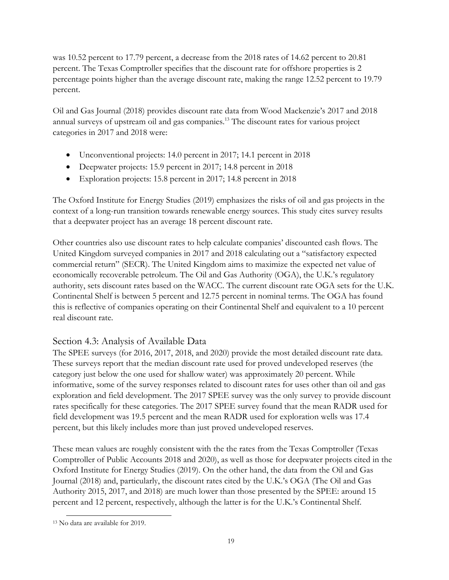was 10.52 percent to 17.79 percent, a decrease from the 2018 rates of 14.62 percent to 20.81 percent. The Texas Comptroller specifies that the discount rate for offshore properties is 2 percentage points higher than the average discount rate, making the range 12.52 percent to 19.79 percent.

Oil and Gas Journal (2018) provides discount rate data from Wood Mackenzie's 2017 and 2018 annual surveys of upstream oil and gas companies.<sup>13</sup> The discount rates for various project categories in 2017 and 2018 were:

- Unconventional projects: 14.0 percent in 2017; 14.1 percent in 2018
- Deepwater projects: 15.9 percent in 2017; 14.8 percent in 2018
- Exploration projects: 15.8 percent in 2017; 14.8 percent in 2018

The Oxford Institute for Energy Studies (2019) emphasizes the risks of oil and gas projects in the context of a long-run transition towards renewable energy sources. This study cites survey results that a deepwater project has an average 18 percent discount rate.

Other countries also use discount rates to help calculate companies' discounted cash flows. The United Kingdom surveyed companies in 2017 and 2018 calculating out a "satisfactory expected commercial return" (SECR). The United Kingdom aims to maximize the expected net value of economically recoverable petroleum. The Oil and Gas Authority (OGA), the U.K.'s regulatory authority, sets discount rates based on the WACC. The current discount rate OGA sets for the U.K. Continental Shelf is between 5 percent and 12.75 percent in nominal terms. The OGA has found this is reflective of companies operating on their Continental Shelf and equivalent to a 10 percent real discount rate.

## Section 4.3: Analysis of Available Data

The SPEE surveys (for 2016, 2017, 2018, and 2020) provide the most detailed discount rate data. These surveys report that the median discount rate used for proved undeveloped reserves (the category just below the one used for shallow water) was approximately 20 percent. While informative, some of the survey responses related to discount rates for uses other than oil and gas exploration and field development. The 2017 SPEE survey was the only survey to provide discount rates specifically for these categories. The 2017 SPEE survey found that the mean RADR used for field development was 19.5 percent and the mean RADR used for exploration wells was 17.4 percent, but this likely includes more than just proved undeveloped reserves.

These mean values are roughly consistent with the the rates from the Texas Comptroller (Texas Comptroller of Public Accounts 2018 and 2020), as well as those for deepwater projects cited in the Oxford Institute for Energy Studies (2019). On the other hand, the data from the Oil and Gas Journal (2018) and, particularly, the discount rates cited by the U.K.'s OGA (The Oil and Gas Authority 2015, 2017, and 2018) are much lower than those presented by the SPEE: around 15 percent and 12 percent, respectively, although the latter is for the U.K.'s Continental Shelf.

 $\overline{a}$ <sup>13</sup> No data are available for 2019.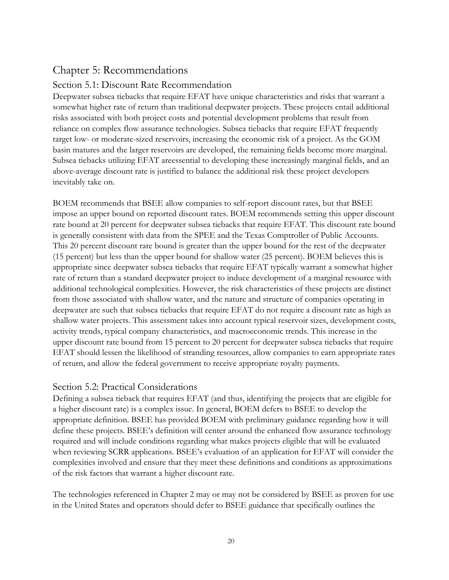# Chapter 5: Recommendations

## Section 5.1: Discount Rate Recommendation

Deepwater subsea tiebacks that require EFAT have unique characteristics and risks that warrant a somewhat higher rate of return than traditional deepwater projects. These projects entail additional risks associated with both project costs and potential development problems that result from reliance on complex flow assurance technologies. Subsea tiebacks that require EFAT frequently target low- or moderate-sized reservoirs, increasing the economic risk of a project. As the GOM basin matures and the larger reservoirs are developed, the remaining fields become more marginal. Subsea tiebacks utilizing EFAT areessential to developing these increasingly marginal fields, and an above-average discount rate is justified to balance the additional risk these project developers inevitably take on.

BOEM recommends that BSEE allow companies to self-report discount rates, but that BSEE impose an upper bound on reported discount rates. BOEM recommends setting this upper discount rate bound at 20 percent for deepwater subsea tiebacks that require EFAT. This discount rate bound is generally consistent with data from the SPEE and the Texas Comptroller of Public Accounts. This 20 percent discount rate bound is greater than the upper bound for the rest of the deepwater (15 percent) but less than the upper bound for shallow water (25 percent). BOEM believes this is appropriate since deepwater subsea tiebacks that require EFAT typically warrant a somewhat higher rate of return than a standard deepwater project to induce development of a marginal resource with additional technological complexities. However, the risk characteristics of these projects are distinct from those associated with shallow water, and the nature and structure of companies operating in deepwater are such that subsea tiebacks that require EFAT do not require a discount rate as high as shallow water projects. This assessment takes into account typical reservoir sizes, development costs, activity trends, typical company characteristics, and macroeconomic trends. This increase in the upper discount rate bound from 15 percent to 20 percent for deepwater subsea tiebacks that require EFAT should lessen the likelihood of stranding resources, allow companies to earn appropriate rates of return, and allow the federal government to receive appropriate royalty payments.

### Section 5.2: Practical Considerations

Defining a subsea tieback that requires EFAT (and thus, identifying the projects that are eligible for a higher discount rate) is a complex issue. In general, BOEM defers to BSEE to develop the appropriate definition. BSEE has provided BOEM with preliminary guidance regarding how it will define these projects. BSEE's definition will center around the enhanced flow assurance technology required and will include conditions regarding what makes projects eligible that will be evaluated when reviewing SCRR applications. BSEE's evaluation of an application for EFAT will consider the complexities involved and ensure that they meet these definitions and conditions as approximations of the risk factors that warrant a higher discount rate.

The technologies referenced in Chapter 2 may or may not be considered by BSEE as proven for use in the United States and operators should defer to BSEE guidance that specifically outlines the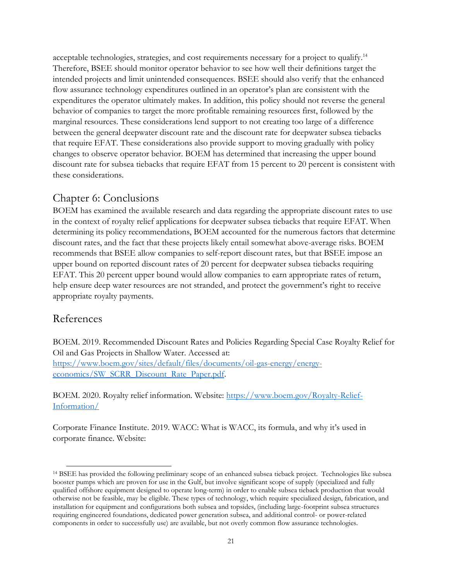acceptable technologies, strategies, and cost requirements necessary for a project to qualify.<sup>14</sup> Therefore, BSEE should monitor operator behavior to see how well their definitions target the intended projects and limit unintended consequences. BSEE should also verify that the enhanced flow assurance technology expenditures outlined in an operator's plan are consistent with the expenditures the operator ultimately makes. In addition, this policy should not reverse the general behavior of companies to target the more profitable remaining resources first, followed by the marginal resources. These considerations lend support to not creating too large of a difference between the general deepwater discount rate and the discount rate for deepwater subsea tiebacks that require EFAT. These considerations also provide support to moving gradually with policy changes to observe operator behavior. BOEM has determined that increasing the upper bound discount rate for subsea tiebacks that require EFAT from 15 percent to 20 percent is consistent with these considerations.

## Chapter 6: Conclusions

BOEM has examined the available research and data regarding the appropriate discount rates to use in the context of royalty relief applications for deepwater subsea tiebacks that require EFAT. When determining its policy recommendations, BOEM accounted for the numerous factors that determine discount rates, and the fact that these projects likely entail somewhat above-average risks. BOEM recommends that BSEE allow companies to self-report discount rates, but that BSEE impose an upper bound on reported discount rates of 20 percent for deepwater subsea tiebacks requiring EFAT. This 20 percent upper bound would allow companies to earn appropriate rates of return, help ensure deep water resources are not stranded, and protect the government's right to receive appropriate royalty payments.

## References

BOEM. 2019. Recommended Discount Rates and Policies Regarding Special Case Royalty Relief for Oil and Gas Projects in Shallow Water. Accessed at: [https://www.boem.gov/sites/default/files/documents/oil-gas-energy/energy](https://www.boem.gov/sites/default/files/documents/oil-gas-energy/energy-economics/SW_SCRR_Discount_Rate_Paper.pdf)[economics/SW\\_SCRR\\_Discount\\_Rate\\_Paper.pdf.](https://www.boem.gov/sites/default/files/documents/oil-gas-energy/energy-economics/SW_SCRR_Discount_Rate_Paper.pdf)

BOEM. 2020. Royalty relief information. Website: [https://www.boem.gov/Royalty-Relief-](https://www.boem.gov/Royalty-Relief-Information/)[Information/](https://www.boem.gov/Royalty-Relief-Information/)

Corporate Finance Institute. 2019. WACC: What is WACC, its formula, and why it's used in corporate finance. Website:

 $\overline{a}$ <sup>14</sup> BSEE has provided the following preliminary scope of an enhanced subsea tieback project. Technologies like subsea booster pumps which are proven for use in the Gulf, but involve significant scope of supply (specialized and fully qualified offshore equipment designed to operate long-term) in order to enable subsea tieback production that would otherwise not be feasible, may be eligible. These types of technology, which require specialized design, fabrication, and installation for equipment and configurations both subsea and topsides, (including large-footprint subsea structures requiring engineered foundations, dedicated power generation subsea, and additional control- or power-related components in order to successfully use) are available, but not overly common flow assurance technologies.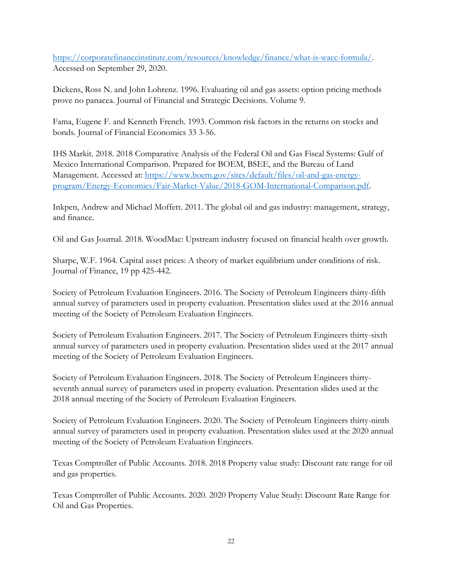[https://corporatefinanceinstitute.com/resources/knowledge/finance/what-is-wacc-formula/.](https://corporatefinanceinstitute.com/resources/knowledge/finance/what-is-wacc-formula/) Accessed on September 29, 2020.

Dickens, Ross N. and John Lohrenz. 1996. Evaluating oil and gas assets: option pricing methods prove no panacea. Journal of Financial and Strategic Decisions. Volume 9.

Fama, Eugene F. and Kenneth French. 1993. Common risk factors in the returns on stocks and bonds. Journal of Financial Economics 33 3-56.

IHS Markit. 2018. 2018 Comparative Analysis of the Federal Oil and Gas Fiscal Systems: Gulf of Mexico International Comparison. Prepared for BOEM, BSEE, and the Bureau of Land Management. Accessed at: [https://www.boem.gov/sites/default/files/oil-and-gas-energy](https://www.boem.gov/sites/default/files/oil-and-gas-energy-program/Energy-Economics/Fair-Market-Value/2018-GOM-International-Comparison.pdf)[program/Energy-Economics/Fair-Market-Value/2018-GOM-International-Comparison.pdf.](https://www.boem.gov/sites/default/files/oil-and-gas-energy-program/Energy-Economics/Fair-Market-Value/2018-GOM-International-Comparison.pdf)

Inkpen, Andrew and Michael Moffett. 2011. The global oil and gas industry: management, strategy, and finance.

Oil and Gas Journal. 2018. WoodMac: Upstream industry focused on financial health over growth.

Sharpe, W.F. 1964. Capital asset prices: A theory of market equilibrium under conditions of risk. Journal of Finance, 19 pp 425-442.

Society of Petroleum Evaluation Engineers. 2016. The Society of Petroleum Engineers thirty-fifth annual survey of parameters used in property evaluation. Presentation slides used at the 2016 annual meeting of the Society of Petroleum Evaluation Engineers.

Society of Petroleum Evaluation Engineers. 2017. The Society of Petroleum Engineers thirty-sixth annual survey of parameters used in property evaluation. Presentation slides used at the 2017 annual meeting of the Society of Petroleum Evaluation Engineers.

Society of Petroleum Evaluation Engineers. 2018. The Society of Petroleum Engineers thirtyseventh annual survey of parameters used in property evaluation. Presentation slides used at the 2018 annual meeting of the Society of Petroleum Evaluation Engineers.

Society of Petroleum Evaluation Engineers. 2020. The Society of Petroleum Engineers thirty-ninth annual survey of parameters used in property evaluation. Presentation slides used at the 2020 annual meeting of the Society of Petroleum Evaluation Engineers.

Texas Comptroller of Public Accounts. 2018. 2018 Property value study: Discount rate range for oil and gas properties.

Texas Comptroller of Public Accounts. 2020. 2020 Property Value Study: Discount Rate Range for Oil and Gas Properties.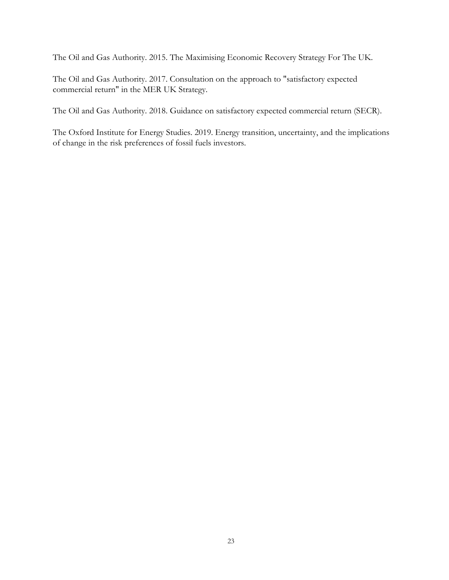The Oil and Gas Authority. 2015. The Maximising Economic Recovery Strategy For The UK.

The Oil and Gas Authority. 2017. Consultation on the approach to "satisfactory expected commercial return" in the MER UK Strategy.

The Oil and Gas Authority. 2018. Guidance on satisfactory expected commercial return (SECR).

The Oxford Institute for Energy Studies. 2019. Energy transition, uncertainty, and the implications of change in the risk preferences of fossil fuels investors.